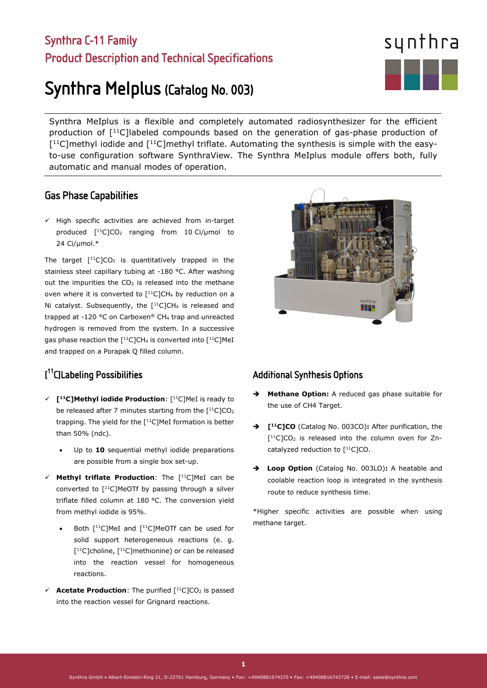# Synthra C-11 Family Product Description and Technical Specifications

# Synthra MeIplus (Catalog No. 003)

Synthra MeIplus is a flexible and completely automated radiosynthesizer for the efficient production of  $[11C]$ labeled compounds based on the generation of gas-phase production of  $[11C]$ methyl iodide and  $[11C]$ methyl triflate. Automating the synthesis is simple with the easyto-use configuration software SynthraView. The Synthra MeIplus module offers both, fully automatic and manual modes of operation.

# Gas Phase Capabilities

 $\checkmark$  High specific activities are achieved from in-target produced  $[$ <sup>11</sup>C]CO<sub>2</sub> ranging from 10 Ci/µmol to 24 Ci/µmol.\*

The target  $[$ <sup>11</sup>C]CO<sub>2</sub> is quantitatively trapped in the stainless steel capillary tubing at -180 °C. After washing out the impurities the  $CO<sub>2</sub>$  is released into the methane oven where it is converted to  $[$ <sup>11</sup>C]CH<sub>4</sub> by reduction on a Ni catalyst. Subsequently, the  $[$ <sup>11</sup>C]CH<sub>4</sub> is released and trapped at -120 °C on Carboxen® CH4 trap and unreacted hydrogen is removed from the system. In a successive gas phase reaction the  $[$ <sup>11</sup>C]CH<sub>4</sub> is converted into  $[$ <sup>11</sup>C]MeI and trapped on a Porapak Q filled column.

# [ 11C]Labeling Possibilities

l

- **[11C]Methyl iodide Production**: [11C]MeI is ready to be released after 7 minutes starting from the  $[11C]CO<sub>2</sub>$ trapping. The yield for the  $[$ <sup>11</sup>C]MeI formation is better than 50% (ndc).
	- Up to 10 sequential methyl iodide preparations are possible from a single box set-up.
- **Methyl triflate Production**: The [11C]MeI can be converted to  $[$ <sup>11</sup>C]MeOTf by passing through a silver triflate filled column at 180 °C. The conversion yield from methyl iodide is 95%.
	- Both  $[$ <sup>11</sup>C]MeI and  $[$ <sup>11</sup>C]MeOTf can be used for solid support heterogeneous reactions (e. g. [<sup>11</sup>C]choline, [<sup>11</sup>C]methionine) or can be released into the reaction vessel for homogeneous reactions.
- $\checkmark$  **Acetate Production**: The purified  $[$ <sup>11</sup>C]CO<sub>2</sub> is passed into the reaction vessel for Grignard reactions.

## Additional Synthesis Options

- **Methane Option:** A reduced gas phase suitable for the use of CH4 Target.
- **[11C]CO** (Catalog No. 003CO)**:** After purification, the  $[11C]CO<sub>2</sub>$  is released into the column oven for Zncatalyzed reduction to  $[$ <sup>11</sup>C]CO.
- **Loop Option** (Catalog No. 003LO)**:** A heatable and coolable reaction loop is integrated in the synthesis route to reduce synthesis time.

\*Higher specific activities are possible when using methane target.